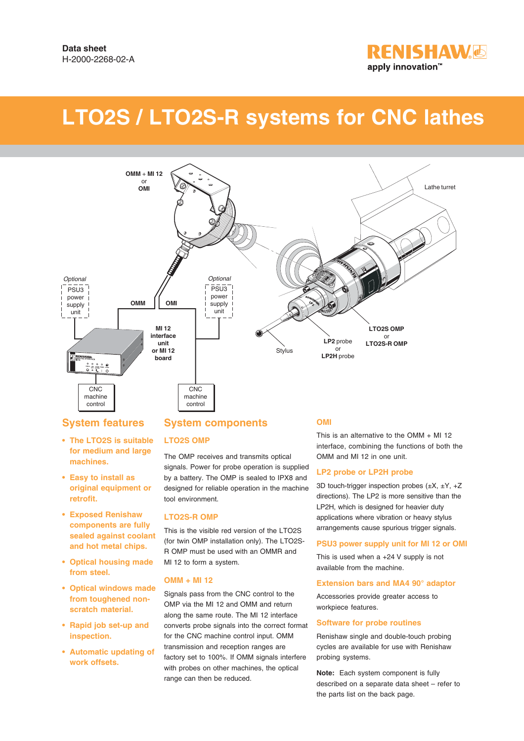

# **LTO2S / LTO2S-R systems for CNC lathes**



# **System features**

- **The LTO2S is suitable for medium and large machines.**
- **Easy to install as original equipment or retrofit.**
- **Exposed Renishaw components are fully sealed against coolant and hot metal chips.**
- **Optical housing made from steel.**
- **Optical windows made from toughened nonscratch material.**
- **Rapid job set-up and inspection.**
- **Automatic updating of work offsets.**

# **System components**

### **LTO2S OMP**

The OMP receives and transmits optical signals. Power for probe operation is supplied by a battery. The OMP is sealed to IPX8 and designed for reliable operation in the machine tool environment.

#### **LTO2S-R OMP**

This is the visible red version of the LTO2S (for twin OMP installation only). The LTO2S-R OMP must be used with an OMMR and MI 12 to form a system.

#### **OMM + MI 12**

Signals pass from the CNC control to the OMP via the MI 12 and OMM and return along the same route. The MI 12 interface converts probe signals into the correct format for the CNC machine control input. OMM transmission and reception ranges are factory set to 100%. If OMM signals interfere with probes on other machines, the optical range can then be reduced.

#### **OMI**

This is an alternative to the OMM + MI 12 interface, combining the functions of both the OMM and MI 12 in one unit.

#### **LP2 probe or LP2H probe**

3D touch-trigger inspection probes  $(\pm X, \pm Y, +Z)$ directions). The LP2 is more sensitive than the LP2H, which is designed for heavier duty applications where vibration or heavy stylus arrangements cause spurious trigger signals.

#### **PSU3 power supply unit for MI 12 or OMI**

This is used when a +24 V supply is not available from the machine.

#### **Extension bars and MA4 90° adaptor**

Accessories provide greater access to workpiece features.

#### **Software for probe routines**

Renishaw single and double-touch probing cycles are available for use with Renishaw probing systems.

**Note:** Each system component is fully described on a separate data sheet – refer to the parts list on the back page.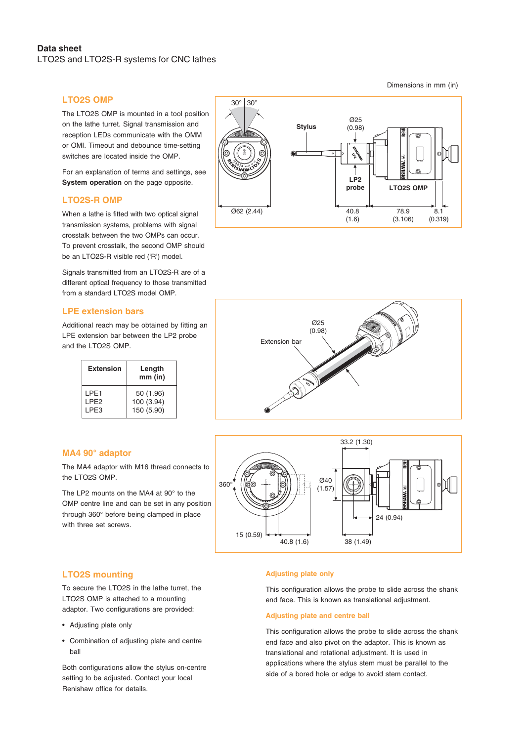## **LTO2S OMP**

The LTO2S OMP is mounted in a tool position on the lathe turret. Signal transmission and reception LEDs communicate with the OMM or OMI. Timeout and debounce time-setting switches are located inside the OMP.

For an explanation of terms and settings, see **System operation** on the page opposite.

#### **LTO2S-R OMP**

When a lathe is fitted with two optical signal transmission systems, problems with signal crosstalk between the two OMPs can occur. To prevent crosstalk, the second OMP should be an LTO2S-R visible red ('R') model.

Signals transmitted from an LTO2S-R are of a different optical frequency to those transmitted from a standard LTO2S model OMP.

#### **LPE extension bars**

Additional reach may be obtained by fitting an LPE extension bar between the LP2 probe and the LTO2S OMP.

| <b>Extension</b>  | Length<br>$mm$ (in) |
|-------------------|---------------------|
| I PE1             | 50 (1.96)           |
| I PF <sub>2</sub> | 100 (3.94)          |
| LPE3              | 150 (5.90)          |

### **MA4 90° adaptor**

The MA4 adaptor with M16 thread connects to the LTO2S OMP.

The LP2 mounts on the MA4 at 90° to the OMP centre line and can be set in any position through 360° before being clamped in place with three set screws.







### **LTO2S mounting**

To secure the LTO2S in the lathe turret, the LTO2S OMP is attached to a mounting adaptor. Two configurations are provided:

- Adjusting plate only
- Combination of adjusting plate and centre ball

Both configurations allow the stylus on-centre setting to be adjusted. Contact your local Renishaw office for details.

#### **Adjusting plate only**

This configuration allows the probe to slide across the shank end face. This is known as translational adjustment.

#### **Adjusting plate and centre ball**

This configuration allows the probe to slide across the shank end face and also pivot on the adaptor. This is known as translational and rotational adjustment. It is used in applications where the stylus stem must be parallel to the side of a bored hole or edge to avoid stem contact.

Dimensions in mm (in)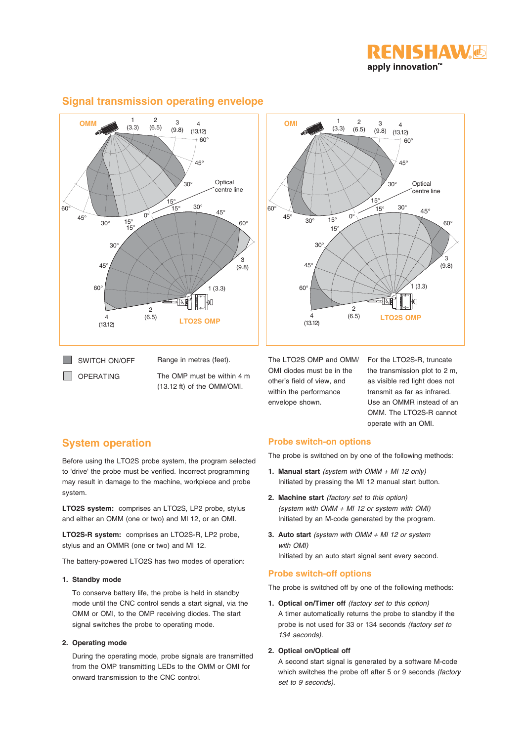



# **Signal transmission operating envelope**



OPERATING

The OMP must be within 4 m (13.12 ft) of the OMM/OMI.

The LTO2S OMP and OMM/ OMI diodes must be in the other's field of view, and within the performance envelope shown.

For the LTO2S-R, truncate the transmission plot to 2 m, as visible red light does not transmit as far as infrared. Use an OMMR instead of an OMM. The LTO2S-R cannot operate with an OMI.

# **System operation**

Before using the LTO2S probe system, the program selected to 'drive' the probe must be verified. Incorrect programming may result in damage to the machine, workpiece and probe system.

**LTO2S system:** comprises an LTO2S, LP2 probe, stylus and either an OMM (one or two) and MI 12, or an OMI.

**LTO2S-R system:** comprises an LTO2S-R, LP2 probe, stylus and an OMMR (one or two) and MI 12.

The battery-powered LTO2S has two modes of operation:

#### **1. Standby mode**

To conserve battery life, the probe is held in standby mode until the CNC control sends a start signal, via the OMM or OMI, to the OMP receiving diodes. The start signal switches the probe to operating mode.

#### **2. Operating mode**

During the operating mode, probe signals are transmitted from the OMP transmitting LEDs to the OMM or OMI for onward transmission to the CNC control.

### **Probe switch-on options**

The probe is switched on by one of the following methods:

- **1. Manual start** (system with OMM + MI 12 only) Initiated by pressing the MI 12 manual start button.
- **2. Machine start** (factory set to this option) (system with OMM + MI 12 or system with OMI) Initiated by an M-code generated by the program.
- **3. Auto start** (system with OMM + MI 12 or system with OMI) Initiated by an auto start signal sent every second.

# **Probe switch-off options**

The probe is switched off by one of the following methods:

**1. Optical on/Timer off** (factory set to this option) A timer automatically returns the probe to standby if the probe is not used for 33 or 134 seconds (factory set to 134 seconds).

#### **2. Optical on/Optical off**

A second start signal is generated by a software M-code which switches the probe off after 5 or 9 seconds *(factory*) set to 9 seconds).